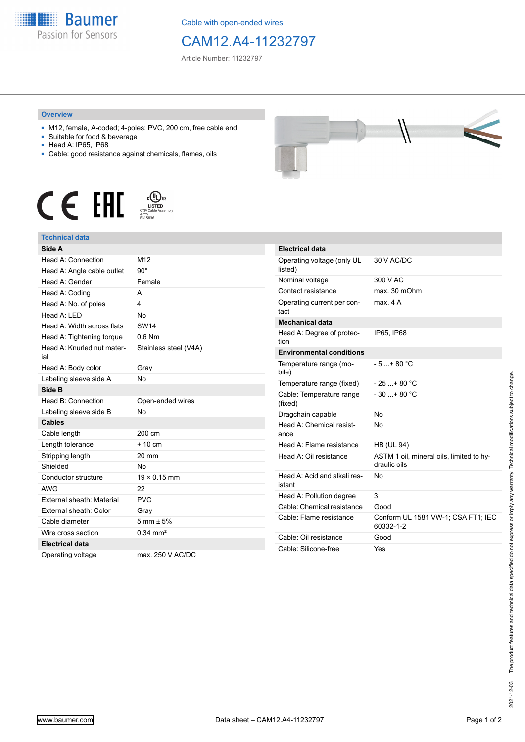

Cable with open-ended wires

## CAM12.A4-11232797

Article Number: 11232797

## **Overview**

- M12, female, A-coded; 4-poles; PVC, 200 cm, free cable end
- Suitable for food & beverage
- Head A: IP65, IP68
- Cable: good resistance against chemicals, flames, oils





## **Technical data**

| Side A                            |                        |
|-----------------------------------|------------------------|
| Head A: Connection                | M12                    |
| Head A: Angle cable outlet        | $90^\circ$             |
| Head A: Gender                    | Female                 |
| Head A: Coding                    | А                      |
| Head A: No. of poles              | 4                      |
| Head A: I FD                      | <b>No</b>              |
| Head A: Width across flats        | <b>SW14</b>            |
| Head A: Tightening torque         | $0.6$ Nm               |
| Head A: Knurled nut mater-<br>ial | Stainless steel (V4A)  |
| Head A: Body color                | Gray                   |
| Labeling sleeve side A            | <b>No</b>              |
| Side B                            |                        |
| Head B: Connection                | Open-ended wires       |
| Labeling sleeve side B            | <b>No</b>              |
|                                   |                        |
| <b>Cables</b>                     |                        |
| Cable length                      | 200 cm                 |
| Length tolerance                  | $+10cm$                |
| Stripping length                  | $20 \text{ mm}$        |
| Shielded                          | No                     |
| Conductor structure               | $19 \times 0.15$ mm    |
| <b>AWG</b>                        | 22                     |
| External sheath: Material         | <b>PVC</b>             |
| External sheath: Color            | Gray                   |
| Cable diameter                    | $5 \text{ mm} \pm 5\%$ |
| Wire cross section                | $0.34 \text{ mm}^2$    |
| <b>Electrical data</b>            |                        |



| <b>Electrical data</b>                 |                                                          |
|----------------------------------------|----------------------------------------------------------|
| Operating voltage (only UL<br>listed)  | 30 V AC/DC                                               |
| Nominal voltage                        | 300 V AC                                                 |
| Contact resistance                     | max. 30 mOhm                                             |
| Operating current per con-<br>tact     | max 4 A                                                  |
| <b>Mechanical data</b>                 |                                                          |
| Head A: Degree of protec-<br>tion      | IP65. IP68                                               |
| <b>Environmental conditions</b>        |                                                          |
| Temperature range (mo-<br>bile)        | $-5 + 80 °C$                                             |
| Temperature range (fixed)              | $-25+80 °C$                                              |
| Cable: Temperature range<br>(fixed)    | $-30+80 °C$                                              |
| Dragchain capable                      | No                                                       |
| Head A: Chemical resist-<br>ance       | No                                                       |
| Head A: Flame resistance               | <b>HB (UL 94)</b>                                        |
| Head A: Oil resistance                 | ASTM 1 oil, mineral oils, limited to hy-<br>draulic oils |
| Head A: Acid and alkali res-<br>istant | N٥                                                       |
| Head A: Pollution degree               | 3                                                        |
| Cable: Chemical resistance             | Good                                                     |
| Cable: Flame resistance                | Conform UL 1581 VW-1; CSA FT1; IEC<br>60332-1-2          |
| Cable: Oil resistance                  | Good                                                     |
| Cable: Silicone-free                   | Yes                                                      |